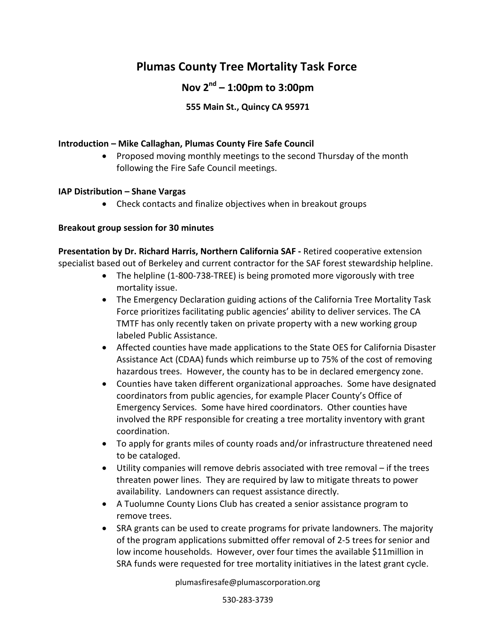# **Plumas County Tree Mortality Task Force**

## **Nov 2nd – 1:00pm to 3:00pm**

## **555 Main St., Quincy CA 95971**

### **Introduction – Mike Callaghan, Plumas County Fire Safe Council**

• Proposed moving monthly meetings to the second Thursday of the month following the Fire Safe Council meetings.

#### **IAP Distribution – Shane Vargas**

• Check contacts and finalize objectives when in breakout groups

#### **Breakout group session for 30 minutes**

**Presentation by Dr. Richard Harris, Northern California SAF -** Retired cooperative extension specialist based out of Berkeley and current contractor for the SAF forest stewardship helpline.

- The helpline (1-800-738-TREE) is being promoted more vigorously with tree mortality issue.
- The Emergency Declaration guiding actions of the California Tree Mortality Task Force prioritizes facilitating public agencies' ability to deliver services. The CA TMTF has only recently taken on private property with a new working group labeled Public Assistance.
- Affected counties have made applications to the State OES for California Disaster Assistance Act (CDAA) funds which reimburse up to 75% of the cost of removing hazardous trees. However, the county has to be in declared emergency zone.
- Counties have taken different organizational approaches. Some have designated coordinators from public agencies, for example Placer County's Office of Emergency Services. Some have hired coordinators. Other counties have involved the RPF responsible for creating a tree mortality inventory with grant coordination.
- To apply for grants miles of county roads and/or infrastructure threatened need to be cataloged.
- Utility companies will remove debris associated with tree removal if the trees threaten power lines. They are required by law to mitigate threats to power availability. Landowners can request assistance directly.
- A Tuolumne County Lions Club has created a senior assistance program to remove trees.
- SRA grants can be used to create programs for private landowners. The majority of the program applications submitted offer removal of 2-5 trees for senior and low income households. However, over four times the available \$11million in SRA funds were requested for tree mortality initiatives in the latest grant cycle.

plumasfiresafe@plumascorporation.org

530-283-3739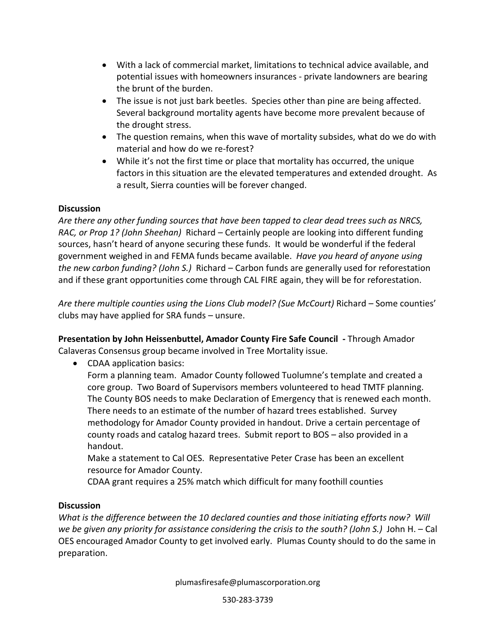- With a lack of commercial market, limitations to technical advice available, and potential issues with homeowners insurances - private landowners are bearing the brunt of the burden.
- The issue is not just bark beetles. Species other than pine are being affected. Several background mortality agents have become more prevalent because of the drought stress.
- The question remains, when this wave of mortality subsides, what do we do with material and how do we re-forest?
- While it's not the first time or place that mortality has occurred, the unique factors in this situation are the elevated temperatures and extended drought. As a result, Sierra counties will be forever changed.

## **Discussion**

*Are there any other funding sources that have been tapped to clear dead trees such as NRCS, RAC, or Prop 1? (John Sheehan)* Richard – Certainly people are looking into different funding sources, hasn't heard of anyone securing these funds. It would be wonderful if the federal government weighed in and FEMA funds became available. *Have you heard of anyone using the new carbon funding? (John S.)* Richard – Carbon funds are generally used for reforestation and if these grant opportunities come through CAL FIRE again, they will be for reforestation.

*Are there multiple counties using the Lions Club model? (Sue McCourt)* Richard – Some counties' clubs may have applied for SRA funds – unsure.

**Presentation by John Heissenbuttel, Amador County Fire Safe Council -** Through Amador Calaveras Consensus group became involved in Tree Mortality issue.

• CDAA application basics:

Form a planning team. Amador County followed Tuolumne's template and created a core group. Two Board of Supervisors members volunteered to head TMTF planning. The County BOS needs to make Declaration of Emergency that is renewed each month. There needs to an estimate of the number of hazard trees established. Survey methodology for Amador County provided in handout. Drive a certain percentage of county roads and catalog hazard trees. Submit report to BOS – also provided in a handout.

Make a statement to Cal OES. Representative Peter Crase has been an excellent resource for Amador County.

CDAA grant requires a 25% match which difficult for many foothill counties

## **Discussion**

*What is the difference between the 10 declared counties and those initiating efforts now? Will we be given any priority for assistance considering the crisis to the south? (John S.)* John H. – Cal OES encouraged Amador County to get involved early. Plumas County should to do the same in preparation.

plumasfiresafe@plumascorporation.org

530-283-3739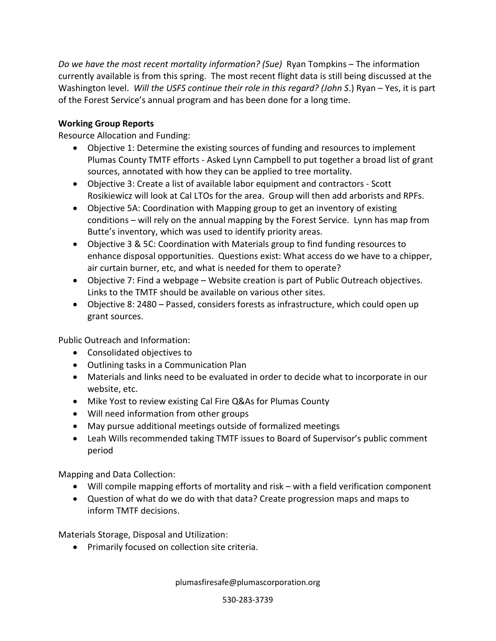*Do we have the most recent mortality information? (Sue)* Ryan Tompkins – The information currently available is from this spring. The most recent flight data is still being discussed at the Washington level. *Will the USFS continue their role in this regard? (John S*.) Ryan – Yes, it is part of the Forest Service's annual program and has been done for a long time.

## **Working Group Reports**

Resource Allocation and Funding:

- Objective 1: Determine the existing sources of funding and resources to implement Plumas County TMTF efforts - Asked Lynn Campbell to put together a broad list of grant sources, annotated with how they can be applied to tree mortality.
- Objective 3: Create a list of available labor equipment and contractors Scott Rosikiewicz will look at Cal LTOs for the area. Group will then add arborists and RPFs.
- Objective 5A: Coordination with Mapping group to get an inventory of existing conditions – will rely on the annual mapping by the Forest Service. Lynn has map from Butte's inventory, which was used to identify priority areas.
- Objective 3 & 5C: Coordination with Materials group to find funding resources to enhance disposal opportunities. Questions exist: What access do we have to a chipper, air curtain burner, etc, and what is needed for them to operate?
- Objective 7: Find a webpage Website creation is part of Public Outreach objectives. Links to the TMTF should be available on various other sites.
- Objective 8: 2480 Passed, considers forests as infrastructure, which could open up grant sources.

Public Outreach and Information:

- Consolidated objectives to
- Outlining tasks in a Communication Plan
- Materials and links need to be evaluated in order to decide what to incorporate in our website, etc.
- Mike Yost to review existing Cal Fire Q&As for Plumas County
- Will need information from other groups
- May pursue additional meetings outside of formalized meetings
- Leah Wills recommended taking TMTF issues to Board of Supervisor's public comment period

Mapping and Data Collection:

- Will compile mapping efforts of mortality and risk with a field verification component
- Question of what do we do with that data? Create progression maps and maps to inform TMTF decisions.

Materials Storage, Disposal and Utilization:

• Primarily focused on collection site criteria.

plumasfiresafe@plumascorporation.org